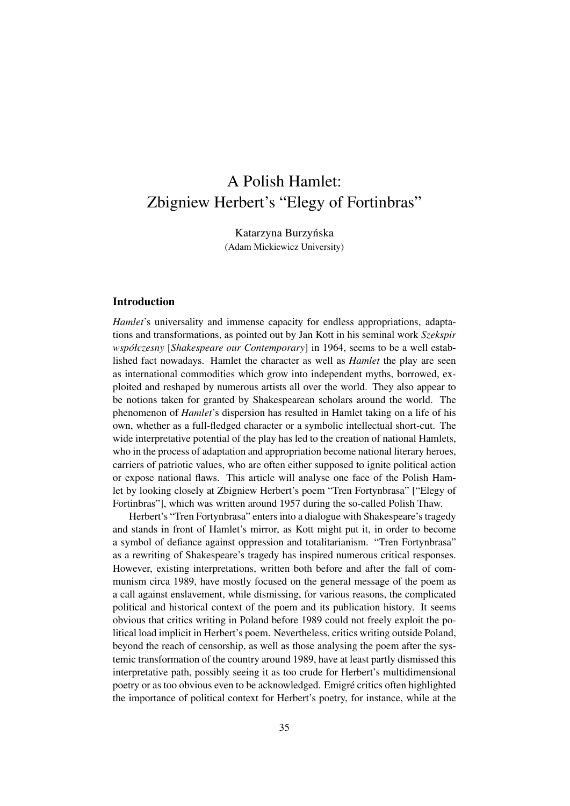# A Polish Hamlet: Zbigniew Herbert's "Elegy of Fortinbras"

Katarzyna Burzyńska (Adam Mickiewicz University)

## Introduction

*Hamlet*'s universality and immense capacity for endless appropriations, adaptations and transformations, as pointed out by Jan Kott in his seminal work *Szekspir współczesny* [*Shakespeare our Contemporary*] in 1964, seems to be a well established fact nowadays. Hamlet the character as well as *Hamlet* the play are seen as international commodities which grow into independent myths, borrowed, exploited and reshaped by numerous artists all over the world. They also appear to be notions taken for granted by Shakespearean scholars around the world. The phenomenon of *Hamlet*'s dispersion has resulted in Hamlet taking on a life of his own, whether as a full-fledged character or a symbolic intellectual short-cut. The wide interpretative potential of the play has led to the creation of national Hamlets, who in the process of adaptation and appropriation become national literary heroes, carriers of patriotic values, who are often either supposed to ignite political action or expose national flaws. This article will analyse one face of the Polish Hamlet by looking closely at Zbigniew Herbert's poem "Tren Fortynbrasa" ["Elegy of Fortinbras"], which was written around 1957 during the so-called Polish Thaw.

Herbert's "Tren Fortynbrasa" enters into a dialogue with Shakespeare's tragedy and stands in front of Hamlet's mirror, as Kott might put it, in order to become a symbol of defiance against oppression and totalitarianism. "Tren Fortynbrasa" as a rewriting of Shakespeare's tragedy has inspired numerous critical responses. However, existing interpretations, written both before and after the fall of communism circa 1989, have mostly focused on the general message of the poem as a call against enslavement, while dismissing, for various reasons, the complicated political and historical context of the poem and its publication history. It seems obvious that critics writing in Poland before 1989 could not freely exploit the political load implicit in Herbert's poem. Nevertheless, critics writing outside Poland, beyond the reach of censorship, as well as those analysing the poem after the systemic transformation of the country around 1989, have at least partly dismissed this interpretative path, possibly seeing it as too crude for Herbert's multidimensional poetry or as too obvious even to be acknowledged. Emigré critics often highlighted the importance of political context for Herbert's poetry, for instance, while at the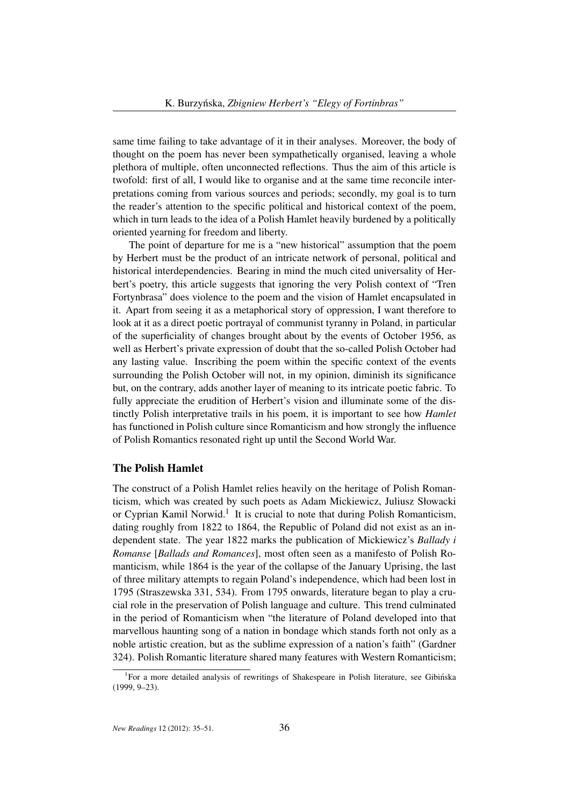same time failing to take advantage of it in their analyses. Moreover, the body of thought on the poem has never been sympathetically organised, leaving a whole plethora of multiple, often unconnected reflections. Thus the aim of this article is twofold: first of all, I would like to organise and at the same time reconcile interpretations coming from various sources and periods; secondly, my goal is to turn the reader's attention to the specific political and historical context of the poem, which in turn leads to the idea of a Polish Hamlet heavily burdened by a politically oriented yearning for freedom and liberty.

The point of departure for me is a "new historical" assumption that the poem by Herbert must be the product of an intricate network of personal, political and historical interdependencies. Bearing in mind the much cited universality of Herbert's poetry, this article suggests that ignoring the very Polish context of "Tren Fortynbrasa" does violence to the poem and the vision of Hamlet encapsulated in it. Apart from seeing it as a metaphorical story of oppression, I want therefore to look at it as a direct poetic portrayal of communist tyranny in Poland, in particular of the superficiality of changes brought about by the events of October 1956, as well as Herbert's private expression of doubt that the so-called Polish October had any lasting value. Inscribing the poem within the specific context of the events surrounding the Polish October will not, in my opinion, diminish its significance but, on the contrary, adds another layer of meaning to its intricate poetic fabric. To fully appreciate the erudition of Herbert's vision and illuminate some of the distinctly Polish interpretative trails in his poem, it is important to see how *Hamlet* has functioned in Polish culture since Romanticism and how strongly the influence of Polish Romantics resonated right up until the Second World War.

#### The Polish Hamlet

The construct of a Polish Hamlet relies heavily on the heritage of Polish Romanticism, which was created by such poets as Adam Mickiewicz, Juliusz Słowacki or Cyprian Kamil Norwid.<sup>1</sup> It is crucial to note that during Polish Romanticism, dating roughly from 1822 to 1864, the Republic of Poland did not exist as an independent state. The year 1822 marks the publication of Mickiewicz's *Ballady i Romanse* [*Ballads and Romances*], most often seen as a manifesto of Polish Romanticism, while 1864 is the year of the collapse of the January Uprising, the last of three military attempts to regain Poland's independence, which had been lost in 1795 (Straszewska 331, 534). From 1795 onwards, literature began to play a crucial role in the preservation of Polish language and culture. This trend culminated in the period of Romanticism when "the literature of Poland developed into that marvellous haunting song of a nation in bondage which stands forth not only as a noble artistic creation, but as the sublime expression of a nation's faith" (Gardner 324). Polish Romantic literature shared many features with Western Romanticism;

<sup>&</sup>lt;sup>1</sup>For a more detailed analysis of rewritings of Shakespeare in Polish literature, see Gibińska (1999, 9–23).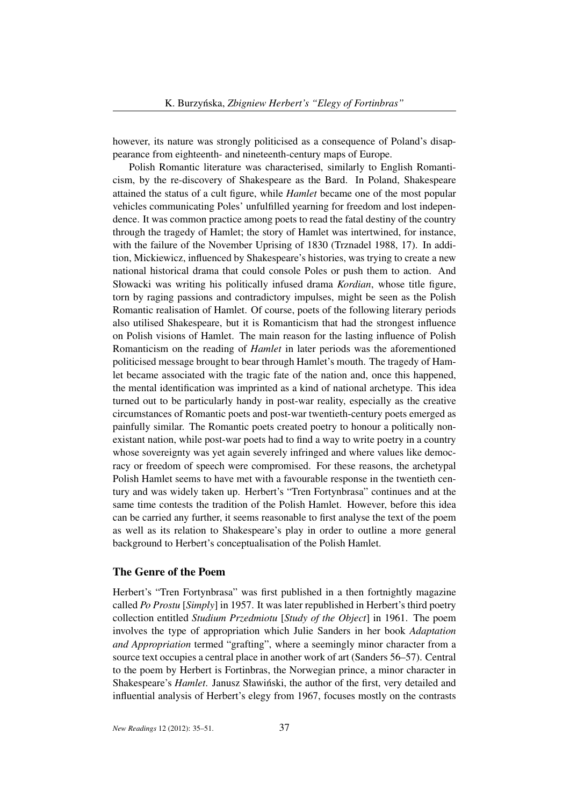however, its nature was strongly politicised as a consequence of Poland's disappearance from eighteenth- and nineteenth-century maps of Europe.

Polish Romantic literature was characterised, similarly to English Romanticism, by the re-discovery of Shakespeare as the Bard. In Poland, Shakespeare attained the status of a cult figure, while *Hamlet* became one of the most popular vehicles communicating Poles' unfulfilled yearning for freedom and lost independence. It was common practice among poets to read the fatal destiny of the country through the tragedy of Hamlet; the story of Hamlet was intertwined, for instance, with the failure of the November Uprising of 1830 (Trznadel 1988, 17). In addition, Mickiewicz, influenced by Shakespeare's histories, was trying to create a new national historical drama that could console Poles or push them to action. And Słowacki was writing his politically infused drama *Kordian*, whose title figure, torn by raging passions and contradictory impulses, might be seen as the Polish Romantic realisation of Hamlet. Of course, poets of the following literary periods also utilised Shakespeare, but it is Romanticism that had the strongest influence on Polish visions of Hamlet. The main reason for the lasting influence of Polish Romanticism on the reading of *Hamlet* in later periods was the aforementioned politicised message brought to bear through Hamlet's mouth. The tragedy of Hamlet became associated with the tragic fate of the nation and, once this happened, the mental identification was imprinted as a kind of national archetype. This idea turned out to be particularly handy in post-war reality, especially as the creative circumstances of Romantic poets and post-war twentieth-century poets emerged as painfully similar. The Romantic poets created poetry to honour a politically nonexistant nation, while post-war poets had to find a way to write poetry in a country whose sovereignty was yet again severely infringed and where values like democracy or freedom of speech were compromised. For these reasons, the archetypal Polish Hamlet seems to have met with a favourable response in the twentieth century and was widely taken up. Herbert's "Tren Fortynbrasa" continues and at the same time contests the tradition of the Polish Hamlet. However, before this idea can be carried any further, it seems reasonable to first analyse the text of the poem as well as its relation to Shakespeare's play in order to outline a more general background to Herbert's conceptualisation of the Polish Hamlet.

# The Genre of the Poem

Herbert's "Tren Fortynbrasa" was first published in a then fortnightly magazine called *Po Prostu* [*Simply*] in 1957. It was later republished in Herbert's third poetry collection entitled *Studium Przedmiotu* [*Study of the Object*] in 1961. The poem involves the type of appropriation which Julie Sanders in her book *Adaptation and Appropriation* termed "grafting", where a seemingly minor character from a source text occupies a central place in another work of art (Sanders 56–57). Central to the poem by Herbert is Fortinbras, the Norwegian prince, a minor character in Shakespeare's *Hamlet*. Janusz Sławiński, the author of the first, very detailed and influential analysis of Herbert's elegy from 1967, focuses mostly on the contrasts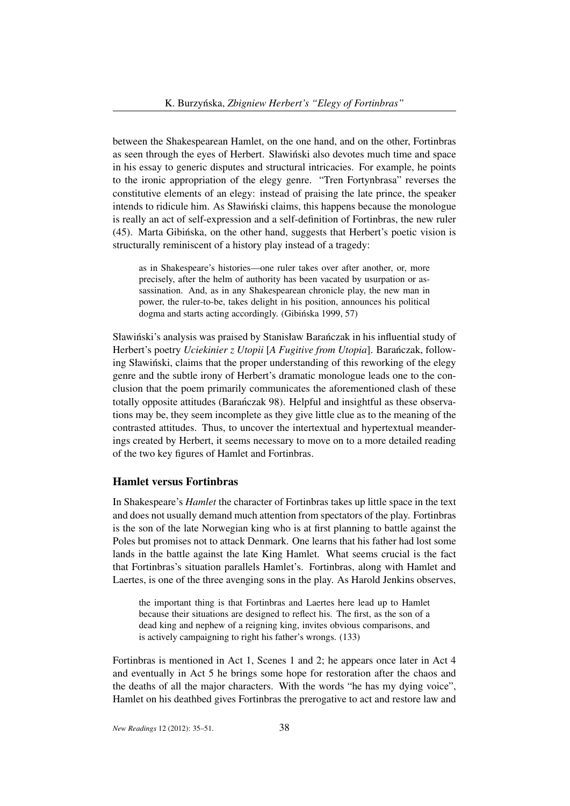between the Shakespearean Hamlet, on the one hand, and on the other, Fortinbras as seen through the eyes of Herbert. Sławinski also devotes much time and space ´ in his essay to generic disputes and structural intricacies. For example, he points to the ironic appropriation of the elegy genre. "Tren Fortynbrasa" reverses the constitutive elements of an elegy: instead of praising the late prince, the speaker intends to ridicule him. As Sławiński claims, this happens because the monologue is really an act of self-expression and a self-definition of Fortinbras, the new ruler (45). Marta Gibinska, on the other hand, suggests that Herbert's poetic vision is ´ structurally reminiscent of a history play instead of a tragedy:

as in Shakespeare's histories—one ruler takes over after another, or, more precisely, after the helm of authority has been vacated by usurpation or assassination. And, as in any Shakespearean chronicle play, the new man in power, the ruler-to-be, takes delight in his position, announces his political dogma and starts acting accordingly. (Gibińska 1999, 57)

Sławiński's analysis was praised by Stanisław Barańczak in his influential study of Herbert's poetry *Uciekinier z Utopii* [A Fugitive from *Utopia*]. Barańczak, following Sławinski, claims that the proper understanding of this reworking of the elegy ´ genre and the subtle irony of Herbert's dramatic monologue leads one to the conclusion that the poem primarily communicates the aforementioned clash of these totally opposite attitudes (Baranczak 98). Helpful and insightful as these observations may be, they seem incomplete as they give little clue as to the meaning of the contrasted attitudes. Thus, to uncover the intertextual and hypertextual meanderings created by Herbert, it seems necessary to move on to a more detailed reading of the two key figures of Hamlet and Fortinbras.

#### Hamlet versus Fortinbras

In Shakespeare's *Hamlet* the character of Fortinbras takes up little space in the text and does not usually demand much attention from spectators of the play. Fortinbras is the son of the late Norwegian king who is at first planning to battle against the Poles but promises not to attack Denmark. One learns that his father had lost some lands in the battle against the late King Hamlet. What seems crucial is the fact that Fortinbras's situation parallels Hamlet's. Fortinbras, along with Hamlet and Laertes, is one of the three avenging sons in the play. As Harold Jenkins observes,

the important thing is that Fortinbras and Laertes here lead up to Hamlet because their situations are designed to reflect his. The first, as the son of a dead king and nephew of a reigning king, invites obvious comparisons, and is actively campaigning to right his father's wrongs. (133)

Fortinbras is mentioned in Act 1, Scenes 1 and 2; he appears once later in Act 4 and eventually in Act 5 he brings some hope for restoration after the chaos and the deaths of all the major characters. With the words "he has my dying voice", Hamlet on his deathbed gives Fortinbras the prerogative to act and restore law and

*New Readings* 12 (2012): 35–51. 38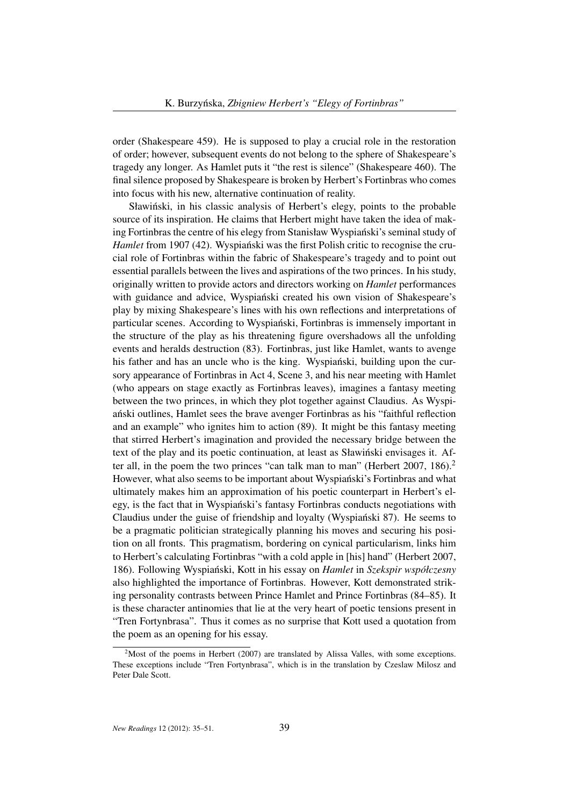order (Shakespeare 459). He is supposed to play a crucial role in the restoration of order; however, subsequent events do not belong to the sphere of Shakespeare's tragedy any longer. As Hamlet puts it "the rest is silence" (Shakespeare 460). The final silence proposed by Shakespeare is broken by Herbert's Fortinbras who comes into focus with his new, alternative continuation of reality.

Sławiński, in his classic analysis of Herbert's elegy, points to the probable source of its inspiration. He claims that Herbert might have taken the idea of making Fortinbras the centre of his elegy from Stanisław Wyspianski's seminal study of ´ *Hamlet* from 1907 (42). Wyspianski was the first Polish critic to recognise the crucial role of Fortinbras within the fabric of Shakespeare's tragedy and to point out essential parallels between the lives and aspirations of the two princes. In his study, originally written to provide actors and directors working on *Hamlet* performances with guidance and advice, Wyspiański created his own vision of Shakespeare's play by mixing Shakespeare's lines with his own reflections and interpretations of particular scenes. According to Wyspianski, Fortinbras is immensely important in ´ the structure of the play as his threatening figure overshadows all the unfolding events and heralds destruction (83). Fortinbras, just like Hamlet, wants to avenge his father and has an uncle who is the king. Wyspianski, building upon the cursory appearance of Fortinbras in Act 4, Scene 3, and his near meeting with Hamlet (who appears on stage exactly as Fortinbras leaves), imagines a fantasy meeting between the two princes, in which they plot together against Claudius. As Wyspianski outlines, Hamlet sees the brave avenger Fortinbras as his "faithful reflection ´ and an example" who ignites him to action (89). It might be this fantasy meeting that stirred Herbert's imagination and provided the necessary bridge between the text of the play and its poetic continuation, at least as Sławinski envisages it. Af- ´ ter all, in the poem the two princes "can talk man to man" (Herbert 2007, 186).<sup>2</sup> However, what also seems to be important about Wyspianski's Fortinbras and what ´ ultimately makes him an approximation of his poetic counterpart in Herbert's elegy, is the fact that in Wyspianski's fantasy Fortinbras conducts negotiations with ´ Claudius under the guise of friendship and loyalty (Wyspianski 87). He seems to ´ be a pragmatic politician strategically planning his moves and securing his position on all fronts. This pragmatism, bordering on cynical particularism, links him to Herbert's calculating Fortinbras "with a cold apple in [his] hand" (Herbert 2007, 186). Following Wyspianski, Kott in his essay on ´ *Hamlet* in *Szekspir współczesny* also highlighted the importance of Fortinbras. However, Kott demonstrated striking personality contrasts between Prince Hamlet and Prince Fortinbras (84–85). It is these character antinomies that lie at the very heart of poetic tensions present in "Tren Fortynbrasa". Thus it comes as no surprise that Kott used a quotation from the poem as an opening for his essay.

 $2^2$ Most of the poems in Herbert (2007) are translated by Alissa Valles, with some exceptions. These exceptions include "Tren Fortynbrasa", which is in the translation by Czeslaw Milosz and Peter Dale Scott.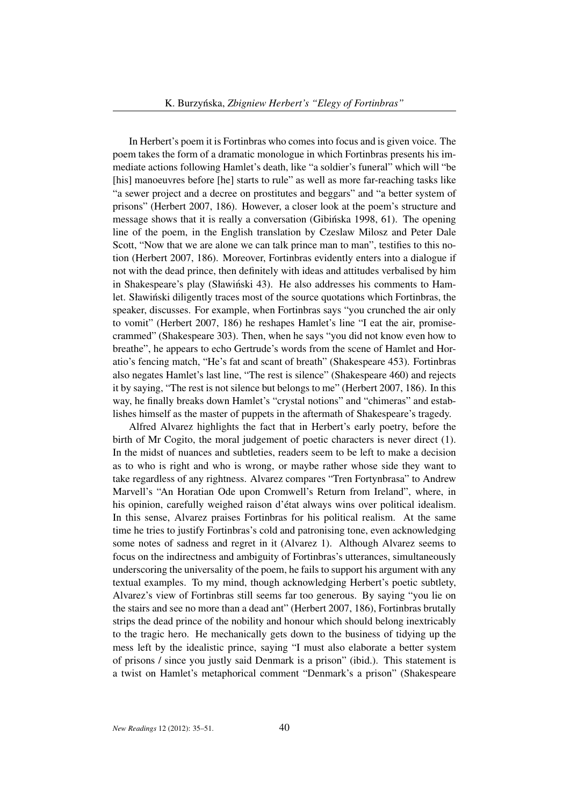In Herbert's poem it is Fortinbras who comes into focus and is given voice. The poem takes the form of a dramatic monologue in which Fortinbras presents his immediate actions following Hamlet's death, like "a soldier's funeral" which will "be [his] manoeuvres before [he] starts to rule" as well as more far-reaching tasks like "a sewer project and a decree on prostitutes and beggars" and "a better system of prisons" (Herbert 2007, 186). However, a closer look at the poem's structure and message shows that it is really a conversation (Gibinska 1998, 61). The opening line of the poem, in the English translation by Czeslaw Milosz and Peter Dale Scott, "Now that we are alone we can talk prince man to man", testifies to this notion (Herbert 2007, 186). Moreover, Fortinbras evidently enters into a dialogue if not with the dead prince, then definitely with ideas and attitudes verbalised by him in Shakespeare's play (Sławiński 43). He also addresses his comments to Hamlet. Sławiński diligently traces most of the source quotations which Fortinbras, the speaker, discusses. For example, when Fortinbras says "you crunched the air only to vomit" (Herbert 2007, 186) he reshapes Hamlet's line "I eat the air, promisecrammed" (Shakespeare 303). Then, when he says "you did not know even how to breathe", he appears to echo Gertrude's words from the scene of Hamlet and Horatio's fencing match, "He's fat and scant of breath" (Shakespeare 453). Fortinbras also negates Hamlet's last line, "The rest is silence" (Shakespeare 460) and rejects it by saying, "The rest is not silence but belongs to me" (Herbert 2007, 186). In this way, he finally breaks down Hamlet's "crystal notions" and "chimeras" and establishes himself as the master of puppets in the aftermath of Shakespeare's tragedy.

Alfred Alvarez highlights the fact that in Herbert's early poetry, before the birth of Mr Cogito, the moral judgement of poetic characters is never direct (1). In the midst of nuances and subtleties, readers seem to be left to make a decision as to who is right and who is wrong, or maybe rather whose side they want to take regardless of any rightness. Alvarez compares "Tren Fortynbrasa" to Andrew Marvell's "An Horatian Ode upon Cromwell's Return from Ireland", where, in his opinion, carefully weighed raison d'état always wins over political idealism. In this sense, Alvarez praises Fortinbras for his political realism. At the same time he tries to justify Fortinbras's cold and patronising tone, even acknowledging some notes of sadness and regret in it (Alvarez 1). Although Alvarez seems to focus on the indirectness and ambiguity of Fortinbras's utterances, simultaneously underscoring the universality of the poem, he fails to support his argument with any textual examples. To my mind, though acknowledging Herbert's poetic subtlety, Alvarez's view of Fortinbras still seems far too generous. By saying "you lie on the stairs and see no more than a dead ant" (Herbert 2007, 186), Fortinbras brutally strips the dead prince of the nobility and honour which should belong inextricably to the tragic hero. He mechanically gets down to the business of tidying up the mess left by the idealistic prince, saying "I must also elaborate a better system of prisons / since you justly said Denmark is a prison" (ibid.). This statement is a twist on Hamlet's metaphorical comment "Denmark's a prison" (Shakespeare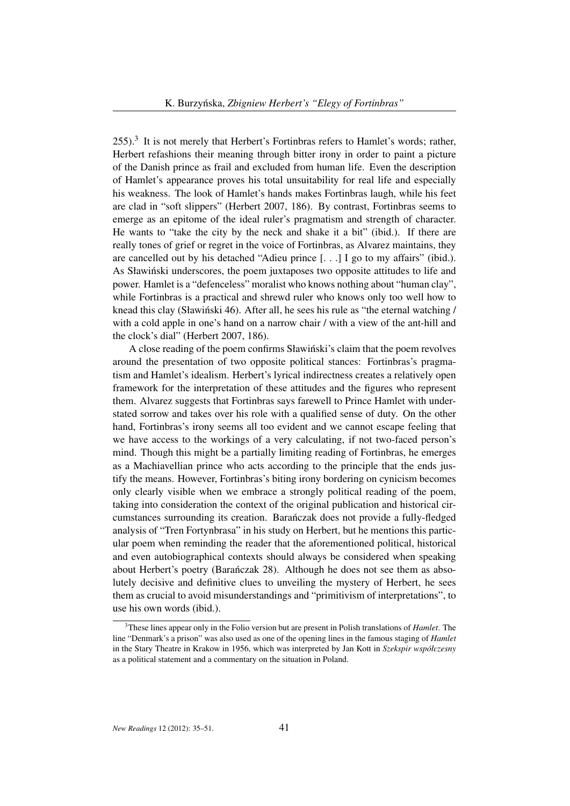$255$ ).<sup>3</sup> It is not merely that Herbert's Fortinbras refers to Hamlet's words; rather, Herbert refashions their meaning through bitter irony in order to paint a picture of the Danish prince as frail and excluded from human life. Even the description of Hamlet's appearance proves his total unsuitability for real life and especially his weakness. The look of Hamlet's hands makes Fortinbras laugh, while his feet are clad in "soft slippers" (Herbert 2007, 186). By contrast, Fortinbras seems to emerge as an epitome of the ideal ruler's pragmatism and strength of character. He wants to "take the city by the neck and shake it a bit" (ibid.). If there are really tones of grief or regret in the voice of Fortinbras, as Alvarez maintains, they are cancelled out by his detached "Adieu prince [. . .] I go to my affairs" (ibid.). As Sławinski underscores, the poem juxtaposes two opposite attitudes to life and ´ power. Hamlet is a "defenceless" moralist who knows nothing about "human clay", while Fortinbras is a practical and shrewd ruler who knows only too well how to knead this clay (Sławiński 46). After all, he sees his rule as "the eternal watching / with a cold apple in one's hand on a narrow chair / with a view of the ant-hill and the clock's dial" (Herbert 2007, 186).

A close reading of the poem confirms Sławinski's claim that the poem revolves ´ around the presentation of two opposite political stances: Fortinbras's pragmatism and Hamlet's idealism. Herbert's lyrical indirectness creates a relatively open framework for the interpretation of these attitudes and the figures who represent them. Alvarez suggests that Fortinbras says farewell to Prince Hamlet with understated sorrow and takes over his role with a qualified sense of duty. On the other hand, Fortinbras's irony seems all too evident and we cannot escape feeling that we have access to the workings of a very calculating, if not two-faced person's mind. Though this might be a partially limiting reading of Fortinbras, he emerges as a Machiavellian prince who acts according to the principle that the ends justify the means. However, Fortinbras's biting irony bordering on cynicism becomes only clearly visible when we embrace a strongly political reading of the poem, taking into consideration the context of the original publication and historical circumstances surrounding its creation. Baranczak does not provide a fully-fledged ´ analysis of "Tren Fortynbrasa" in his study on Herbert, but he mentions this particular poem when reminding the reader that the aforementioned political, historical and even autobiographical contexts should always be considered when speaking about Herbert's poetry (Barańczak 28). Although he does not see them as absolutely decisive and definitive clues to unveiling the mystery of Herbert, he sees them as crucial to avoid misunderstandings and "primitivism of interpretations", to use his own words (ibid.).

<sup>3</sup>These lines appear only in the Folio version but are present in Polish translations of *Hamlet*. The line "Denmark's a prison" was also used as one of the opening lines in the famous staging of *Hamlet* in the Stary Theatre in Krakow in 1956, which was interpreted by Jan Kott in *Szekspir współczesny* as a political statement and a commentary on the situation in Poland.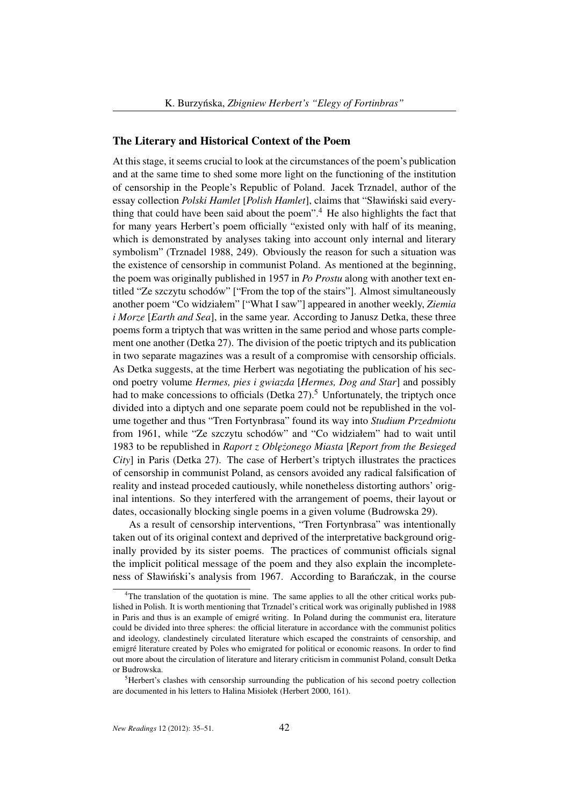#### The Literary and Historical Context of the Poem

At this stage, it seems crucial to look at the circumstances of the poem's publication and at the same time to shed some more light on the functioning of the institution of censorship in the People's Republic of Poland. Jacek Trznadel, author of the essay collection *Polski Hamlet* [*Polish Hamlet*], claims that "Sławinski said every- ´ thing that could have been said about the poem".<sup>4</sup> He also highlights the fact that for many years Herbert's poem officially "existed only with half of its meaning, which is demonstrated by analyses taking into account only internal and literary symbolism" (Trznadel 1988, 249). Obviously the reason for such a situation was the existence of censorship in communist Poland. As mentioned at the beginning, the poem was originally published in 1957 in *Po Prostu* along with another text entitled "Ze szczytu schodów" ["From the top of the stairs"]. Almost simultaneously another poem "Co widziałem" ["What I saw"] appeared in another weekly, *Ziemia i Morze* [*Earth and Sea*], in the same year. According to Janusz Detka, these three poems form a triptych that was written in the same period and whose parts complement one another (Detka 27). The division of the poetic triptych and its publication in two separate magazines was a result of a compromise with censorship officials. As Detka suggests, at the time Herbert was negotiating the publication of his second poetry volume *Hermes, pies i gwiazda* [*Hermes, Dog and Star*] and possibly had to make concessions to officials (Detka  $27$ ).<sup>5</sup> Unfortunately, the triptych once divided into a diptych and one separate poem could not be republished in the volume together and thus "Tren Fortynbrasa" found its way into *Studium Przedmiotu* from 1961, while "Ze szczytu schodów" and "Co widziałem" had to wait until 1983 to be republished in *Raport z Oblężonego Miasta [Report from the Besieged City*] in Paris (Detka 27). The case of Herbert's triptych illustrates the practices of censorship in communist Poland, as censors avoided any radical falsification of reality and instead proceded cautiously, while nonetheless distorting authors' original intentions. So they interfered with the arrangement of poems, their layout or dates, occasionally blocking single poems in a given volume (Budrowska 29).

As a result of censorship interventions, "Tren Fortynbrasa" was intentionally taken out of its original context and deprived of the interpretative background originally provided by its sister poems. The practices of communist officials signal the implicit political message of the poem and they also explain the incompleteness of Sławiński's analysis from 1967. According to Barańczak, in the course

 $4$ The translation of the quotation is mine. The same applies to all the other critical works published in Polish. It is worth mentioning that Trznadel's critical work was originally published in 1988 in Paris and thus is an example of emigré writing. In Poland during the communist era, literature could be divided into three spheres: the official literature in accordance with the communist politics and ideology, clandestinely circulated literature which escaped the constraints of censorship, and emigré literature created by Poles who emigrated for political or economic reasons. In order to find out more about the circulation of literature and literary criticism in communist Poland, consult Detka or Budrowska.

 $<sup>5</sup>$ Herbert's clashes with censorship surrounding the publication of his second poetry collection</sup> are documented in his letters to Halina Misiołek (Herbert 2000, 161).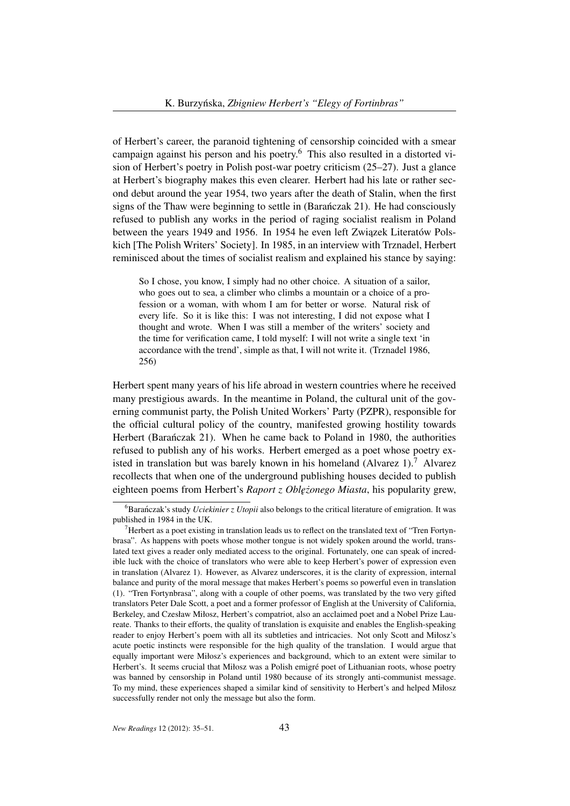of Herbert's career, the paranoid tightening of censorship coincided with a smear campaign against his person and his poetry.<sup>6</sup> This also resulted in a distorted vision of Herbert's poetry in Polish post-war poetry criticism (25–27). Just a glance at Herbert's biography makes this even clearer. Herbert had his late or rather second debut around the year 1954, two years after the death of Stalin, when the first signs of the Thaw were beginning to settle in (Baranczak 21). He had consciously ´ refused to publish any works in the period of raging socialist realism in Poland between the years 1949 and 1956. In 1954 he even left Związek Literatów Polskich [The Polish Writers' Society]. In 1985, in an interview with Trznadel, Herbert reminisced about the times of socialist realism and explained his stance by saying:

So I chose, you know, I simply had no other choice. A situation of a sailor, who goes out to sea, a climber who climbs a mountain or a choice of a profession or a woman, with whom I am for better or worse. Natural risk of every life. So it is like this: I was not interesting, I did not expose what I thought and wrote. When I was still a member of the writers' society and the time for verification came, I told myself: I will not write a single text 'in accordance with the trend', simple as that, I will not write it. (Trznadel 1986, 256)

Herbert spent many years of his life abroad in western countries where he received many prestigious awards. In the meantime in Poland, the cultural unit of the governing communist party, the Polish United Workers' Party (PZPR), responsible for the official cultural policy of the country, manifested growing hostility towards Herbert (Baranczak 21). When he came back to Poland in 1980, the authorities refused to publish any of his works. Herbert emerged as a poet whose poetry existed in translation but was barely known in his homeland  $(Alvarez 1)<sup>7</sup>$  Alvarez recollects that when one of the underground publishing houses decided to publish eighteen poems from Herbert's *Raport z Oblężonego Miasta*, his popularity grew,

 ${}^{6}$ Baranczak's study *Uciekinier z Utopii* also belongs to the critical literature of emigration. It was published in 1984 in the UK.

<sup>&</sup>lt;sup>7</sup>Herbert as a poet existing in translation leads us to reflect on the translated text of "Tren Fortynbrasa". As happens with poets whose mother tongue is not widely spoken around the world, translated text gives a reader only mediated access to the original. Fortunately, one can speak of incredible luck with the choice of translators who were able to keep Herbert's power of expression even in translation (Alvarez 1). However, as Alvarez underscores, it is the clarity of expression, internal balance and purity of the moral message that makes Herbert's poems so powerful even in translation (1). "Tren Fortynbrasa", along with a couple of other poems, was translated by the two very gifted translators Peter Dale Scott, a poet and a former professor of English at the University of California, Berkeley, and Czesław Miłosz, Herbert's compatriot, also an acclaimed poet and a Nobel Prize Laureate. Thanks to their efforts, the quality of translation is exquisite and enables the English-speaking reader to enjoy Herbert's poem with all its subtleties and intricacies. Not only Scott and Miłosz's acute poetic instincts were responsible for the high quality of the translation. I would argue that equally important were Miłosz's experiences and background, which to an extent were similar to Herbert's. It seems crucial that Miłosz was a Polish emigré poet of Lithuanian roots, whose poetry was banned by censorship in Poland until 1980 because of its strongly anti-communist message. To my mind, these experiences shaped a similar kind of sensitivity to Herbert's and helped Miłosz successfully render not only the message but also the form.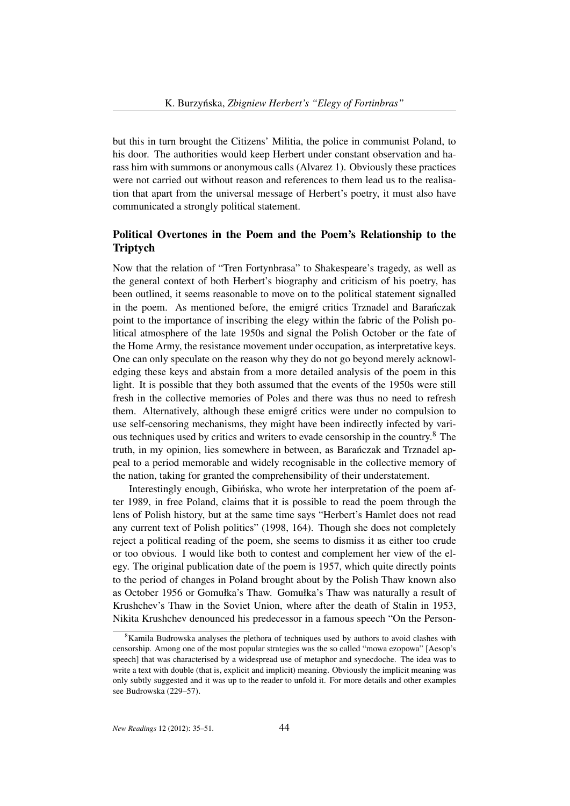but this in turn brought the Citizens' Militia, the police in communist Poland, to his door. The authorities would keep Herbert under constant observation and harass him with summons or anonymous calls (Alvarez 1). Obviously these practices were not carried out without reason and references to them lead us to the realisation that apart from the universal message of Herbert's poetry, it must also have communicated a strongly political statement.

# Political Overtones in the Poem and the Poem's Relationship to the Triptych

Now that the relation of "Tren Fortynbrasa" to Shakespeare's tragedy, as well as the general context of both Herbert's biography and criticism of his poetry, has been outlined, it seems reasonable to move on to the political statement signalled in the poem. As mentioned before, the emigré critics Trznadel and Baranczak ´ point to the importance of inscribing the elegy within the fabric of the Polish political atmosphere of the late 1950s and signal the Polish October or the fate of the Home Army, the resistance movement under occupation, as interpretative keys. One can only speculate on the reason why they do not go beyond merely acknowledging these keys and abstain from a more detailed analysis of the poem in this light. It is possible that they both assumed that the events of the 1950s were still fresh in the collective memories of Poles and there was thus no need to refresh them. Alternatively, although these emigré critics were under no compulsion to use self-censoring mechanisms, they might have been indirectly infected by various techniques used by critics and writers to evade censorship in the country.<sup>8</sup> The truth, in my opinion, lies somewhere in between, as Baranczak and Trznadel ap- ´ peal to a period memorable and widely recognisable in the collective memory of the nation, taking for granted the comprehensibility of their understatement.

Interestingly enough, Gibinska, who wrote her interpretation of the poem after 1989, in free Poland, claims that it is possible to read the poem through the lens of Polish history, but at the same time says "Herbert's Hamlet does not read any current text of Polish politics" (1998, 164). Though she does not completely reject a political reading of the poem, she seems to dismiss it as either too crude or too obvious. I would like both to contest and complement her view of the elegy. The original publication date of the poem is 1957, which quite directly points to the period of changes in Poland brought about by the Polish Thaw known also as October 1956 or Gomułka's Thaw. Gomułka's Thaw was naturally a result of Krushchev's Thaw in the Soviet Union, where after the death of Stalin in 1953, Nikita Krushchev denounced his predecessor in a famous speech "On the Person-

<sup>&</sup>lt;sup>8</sup>Kamila Budrowska analyses the plethora of techniques used by authors to avoid clashes with censorship. Among one of the most popular strategies was the so called "mowa ezopowa" [Aesop's speech] that was characterised by a widespread use of metaphor and synecdoche. The idea was to write a text with double (that is, explicit and implicit) meaning. Obviously the implicit meaning was only subtly suggested and it was up to the reader to unfold it. For more details and other examples see Budrowska (229–57).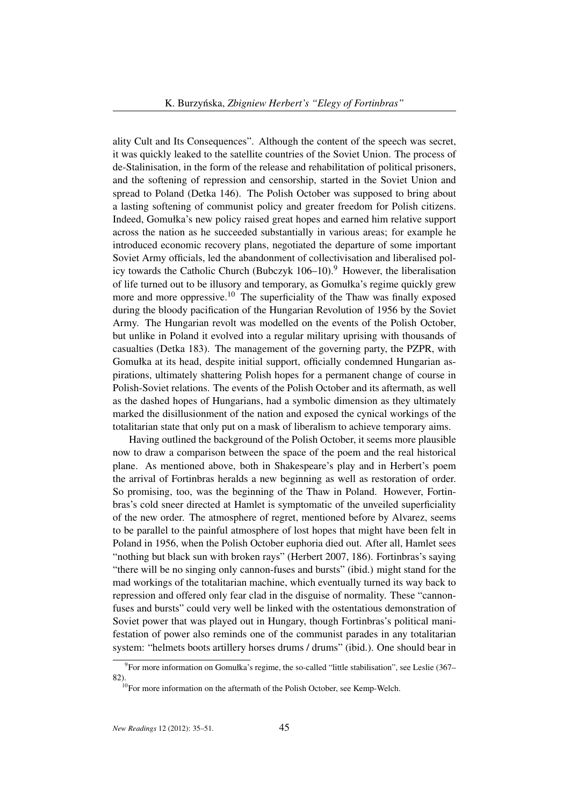ality Cult and Its Consequences". Although the content of the speech was secret, it was quickly leaked to the satellite countries of the Soviet Union. The process of de-Stalinisation, in the form of the release and rehabilitation of political prisoners, and the softening of repression and censorship, started in the Soviet Union and spread to Poland (Detka 146). The Polish October was supposed to bring about a lasting softening of communist policy and greater freedom for Polish citizens. Indeed, Gomułka's new policy raised great hopes and earned him relative support across the nation as he succeeded substantially in various areas; for example he introduced economic recovery plans, negotiated the departure of some important Soviet Army officials, led the abandonment of collectivisation and liberalised policy towards the Catholic Church (Bubczyk  $106-10$ ).<sup>9</sup> However, the liberalisation of life turned out to be illusory and temporary, as Gomułka's regime quickly grew more and more oppressive.<sup>10</sup> The superficiality of the Thaw was finally exposed during the bloody pacification of the Hungarian Revolution of 1956 by the Soviet Army. The Hungarian revolt was modelled on the events of the Polish October, but unlike in Poland it evolved into a regular military uprising with thousands of casualties (Detka 183). The management of the governing party, the PZPR, with Gomułka at its head, despite initial support, officially condemned Hungarian aspirations, ultimately shattering Polish hopes for a permanent change of course in Polish-Soviet relations. The events of the Polish October and its aftermath, as well as the dashed hopes of Hungarians, had a symbolic dimension as they ultimately marked the disillusionment of the nation and exposed the cynical workings of the totalitarian state that only put on a mask of liberalism to achieve temporary aims.

Having outlined the background of the Polish October, it seems more plausible now to draw a comparison between the space of the poem and the real historical plane. As mentioned above, both in Shakespeare's play and in Herbert's poem the arrival of Fortinbras heralds a new beginning as well as restoration of order. So promising, too, was the beginning of the Thaw in Poland. However, Fortinbras's cold sneer directed at Hamlet is symptomatic of the unveiled superficiality of the new order. The atmosphere of regret, mentioned before by Alvarez, seems to be parallel to the painful atmosphere of lost hopes that might have been felt in Poland in 1956, when the Polish October euphoria died out. After all, Hamlet sees "nothing but black sun with broken rays" (Herbert 2007, 186). Fortinbras's saying "there will be no singing only cannon-fuses and bursts" (ibid.) might stand for the mad workings of the totalitarian machine, which eventually turned its way back to repression and offered only fear clad in the disguise of normality. These "cannonfuses and bursts" could very well be linked with the ostentatious demonstration of Soviet power that was played out in Hungary, though Fortinbras's political manifestation of power also reminds one of the communist parades in any totalitarian system: "helmets boots artillery horses drums / drums" (ibid.). One should bear in

<sup>&</sup>lt;sup>9</sup> For more information on Gomułka's regime, the so-called "little stabilisation", see Leslie (367– 82).

 $10$ For more information on the aftermath of the Polish October, see Kemp-Welch.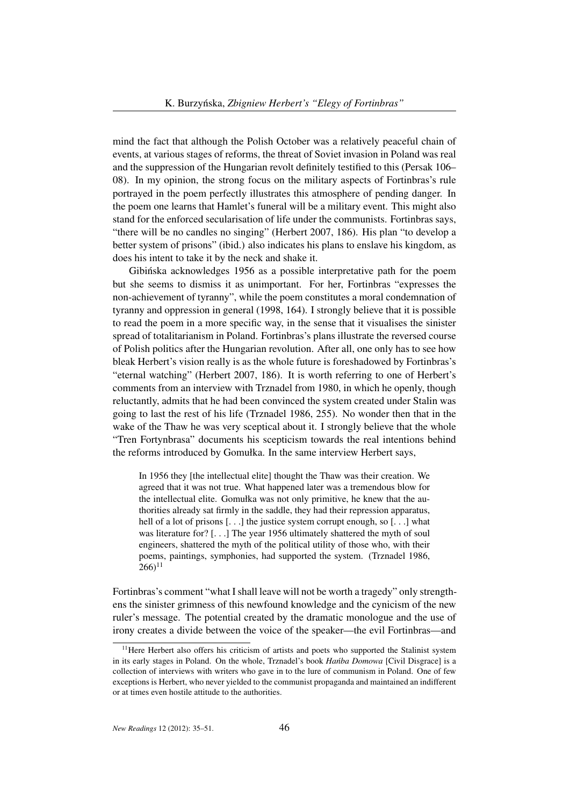mind the fact that although the Polish October was a relatively peaceful chain of events, at various stages of reforms, the threat of Soviet invasion in Poland was real and the suppression of the Hungarian revolt definitely testified to this (Persak 106– 08). In my opinion, the strong focus on the military aspects of Fortinbras's rule portrayed in the poem perfectly illustrates this atmosphere of pending danger. In the poem one learns that Hamlet's funeral will be a military event. This might also stand for the enforced secularisation of life under the communists. Fortinbras says, "there will be no candles no singing" (Herbert 2007, 186). His plan "to develop a better system of prisons" (ibid.) also indicates his plans to enslave his kingdom, as does his intent to take it by the neck and shake it.

Gibinska acknowledges 1956 as a possible interpretative path for the poem ´ but she seems to dismiss it as unimportant. For her, Fortinbras "expresses the non-achievement of tyranny", while the poem constitutes a moral condemnation of tyranny and oppression in general (1998, 164). I strongly believe that it is possible to read the poem in a more specific way, in the sense that it visualises the sinister spread of totalitarianism in Poland. Fortinbras's plans illustrate the reversed course of Polish politics after the Hungarian revolution. After all, one only has to see how bleak Herbert's vision really is as the whole future is foreshadowed by Fortinbras's "eternal watching" (Herbert 2007, 186). It is worth referring to one of Herbert's comments from an interview with Trznadel from 1980, in which he openly, though reluctantly, admits that he had been convinced the system created under Stalin was going to last the rest of his life (Trznadel 1986, 255). No wonder then that in the wake of the Thaw he was very sceptical about it. I strongly believe that the whole "Tren Fortynbrasa" documents his scepticism towards the real intentions behind the reforms introduced by Gomułka. In the same interview Herbert says,

In 1956 they [the intellectual elite] thought the Thaw was their creation. We agreed that it was not true. What happened later was a tremendous blow for the intellectual elite. Gomułka was not only primitive, he knew that the authorities already sat firmly in the saddle, they had their repression apparatus, hell of a lot of prisons [...] the justice system corrupt enough, so [...] what was literature for? [...] The year 1956 ultimately shattered the myth of soul engineers, shattered the myth of the political utility of those who, with their poems, paintings, symphonies, had supported the system. (Trznadel 1986,  $266$ <sup>11</sup>

Fortinbras's comment "what I shall leave will not be worth a tragedy" only strengthens the sinister grimness of this newfound knowledge and the cynicism of the new ruler's message. The potential created by the dramatic monologue and the use of irony creates a divide between the voice of the speaker—the evil Fortinbras—and

<sup>&</sup>lt;sup>11</sup>Here Herbert also offers his criticism of artists and poets who supported the Stalinist system in its early stages in Poland. On the whole, Trznadel's book *Hantha Domowa* [Civil Disgrace] is a collection of interviews with writers who gave in to the lure of communism in Poland. One of few exceptions is Herbert, who never yielded to the communist propaganda and maintained an indifferent or at times even hostile attitude to the authorities.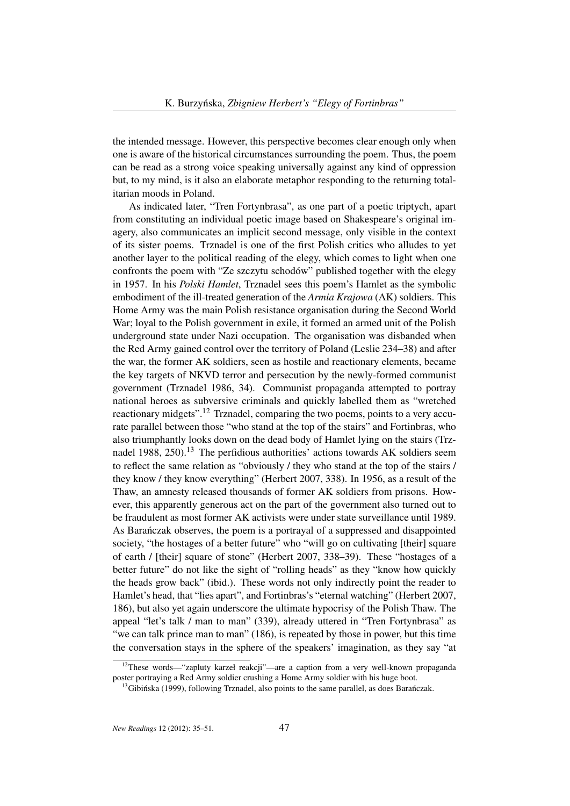the intended message. However, this perspective becomes clear enough only when one is aware of the historical circumstances surrounding the poem. Thus, the poem can be read as a strong voice speaking universally against any kind of oppression but, to my mind, is it also an elaborate metaphor responding to the returning totalitarian moods in Poland.

As indicated later, "Tren Fortynbrasa", as one part of a poetic triptych, apart from constituting an individual poetic image based on Shakespeare's original imagery, also communicates an implicit second message, only visible in the context of its sister poems. Trznadel is one of the first Polish critics who alludes to yet another layer to the political reading of the elegy, which comes to light when one confronts the poem with "Ze szczytu schodów" published together with the elegy in 1957. In his *Polski Hamlet*, Trznadel sees this poem's Hamlet as the symbolic embodiment of the ill-treated generation of the *Armia Krajowa* (AK) soldiers. This Home Army was the main Polish resistance organisation during the Second World War; loyal to the Polish government in exile, it formed an armed unit of the Polish underground state under Nazi occupation. The organisation was disbanded when the Red Army gained control over the territory of Poland (Leslie 234–38) and after the war, the former AK soldiers, seen as hostile and reactionary elements, became the key targets of NKVD terror and persecution by the newly-formed communist government (Trznadel 1986, 34). Communist propaganda attempted to portray national heroes as subversive criminals and quickly labelled them as "wretched reactionary midgets".<sup>12</sup> Trznadel, comparing the two poems, points to a very accurate parallel between those "who stand at the top of the stairs" and Fortinbras, who also triumphantly looks down on the dead body of Hamlet lying on the stairs (Trznadel 1988, 250).<sup>13</sup> The perfidious authorities' actions towards AK soldiers seem to reflect the same relation as "obviously / they who stand at the top of the stairs / they know / they know everything" (Herbert 2007, 338). In 1956, as a result of the Thaw, an amnesty released thousands of former AK soldiers from prisons. However, this apparently generous act on the part of the government also turned out to be fraudulent as most former AK activists were under state surveillance until 1989. As Baranczak observes, the poem is a portrayal of a suppressed and disappointed ´ society, "the hostages of a better future" who "will go on cultivating [their] square of earth / [their] square of stone" (Herbert 2007, 338–39). These "hostages of a better future" do not like the sight of "rolling heads" as they "know how quickly the heads grow back" (ibid.). These words not only indirectly point the reader to Hamlet's head, that "lies apart", and Fortinbras's "eternal watching" (Herbert 2007, 186), but also yet again underscore the ultimate hypocrisy of the Polish Thaw. The appeal "let's talk / man to man" (339), already uttered in "Tren Fortynbrasa" as "we can talk prince man to man" (186), is repeated by those in power, but this time the conversation stays in the sphere of the speakers' imagination, as they say "at

<sup>&</sup>lt;sup>12</sup>These words—"zapluty karzeł reakcji"—are a caption from a very well-known propaganda poster portraying a Red Army soldier crushing a Home Army soldier with his huge boot.

 $<sup>13</sup>$ Gibinska (1999), following Trznadel, also points to the same parallel, as does Baranczak.</sup>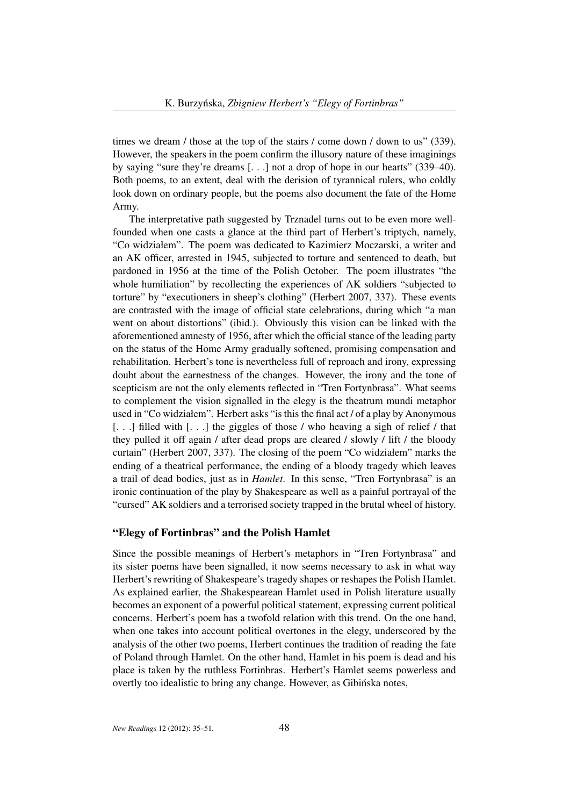times we dream / those at the top of the stairs / come down / down to us" (339). However, the speakers in the poem confirm the illusory nature of these imaginings by saying "sure they're dreams [. . .] not a drop of hope in our hearts" (339–40). Both poems, to an extent, deal with the derision of tyrannical rulers, who coldly look down on ordinary people, but the poems also document the fate of the Home Army.

The interpretative path suggested by Trznadel turns out to be even more wellfounded when one casts a glance at the third part of Herbert's triptych, namely, "Co widziałem". The poem was dedicated to Kazimierz Moczarski, a writer and an AK officer, arrested in 1945, subjected to torture and sentenced to death, but pardoned in 1956 at the time of the Polish October. The poem illustrates "the whole humiliation" by recollecting the experiences of AK soldiers "subjected to torture" by "executioners in sheep's clothing" (Herbert 2007, 337). These events are contrasted with the image of official state celebrations, during which "a man went on about distortions" (ibid.). Obviously this vision can be linked with the aforementioned amnesty of 1956, after which the official stance of the leading party on the status of the Home Army gradually softened, promising compensation and rehabilitation. Herbert's tone is nevertheless full of reproach and irony, expressing doubt about the earnestness of the changes. However, the irony and the tone of scepticism are not the only elements reflected in "Tren Fortynbrasa". What seems to complement the vision signalled in the elegy is the theatrum mundi metaphor used in "Co widziałem". Herbert asks "is this the final act / of a play by Anonymous [...] filled with [...] the giggles of those / who heaving a sigh of relief / that they pulled it off again / after dead props are cleared / slowly / lift / the bloody curtain" (Herbert 2007, 337). The closing of the poem "Co widziałem" marks the ending of a theatrical performance, the ending of a bloody tragedy which leaves a trail of dead bodies, just as in *Hamlet*. In this sense, "Tren Fortynbrasa" is an ironic continuation of the play by Shakespeare as well as a painful portrayal of the "cursed" AK soldiers and a terrorised society trapped in the brutal wheel of history.

#### "Elegy of Fortinbras" and the Polish Hamlet

Since the possible meanings of Herbert's metaphors in "Tren Fortynbrasa" and its sister poems have been signalled, it now seems necessary to ask in what way Herbert's rewriting of Shakespeare's tragedy shapes or reshapes the Polish Hamlet. As explained earlier, the Shakespearean Hamlet used in Polish literature usually becomes an exponent of a powerful political statement, expressing current political concerns. Herbert's poem has a twofold relation with this trend. On the one hand, when one takes into account political overtones in the elegy, underscored by the analysis of the other two poems, Herbert continues the tradition of reading the fate of Poland through Hamlet. On the other hand, Hamlet in his poem is dead and his place is taken by the ruthless Fortinbras. Herbert's Hamlet seems powerless and overtly too idealistic to bring any change. However, as Gibinska notes,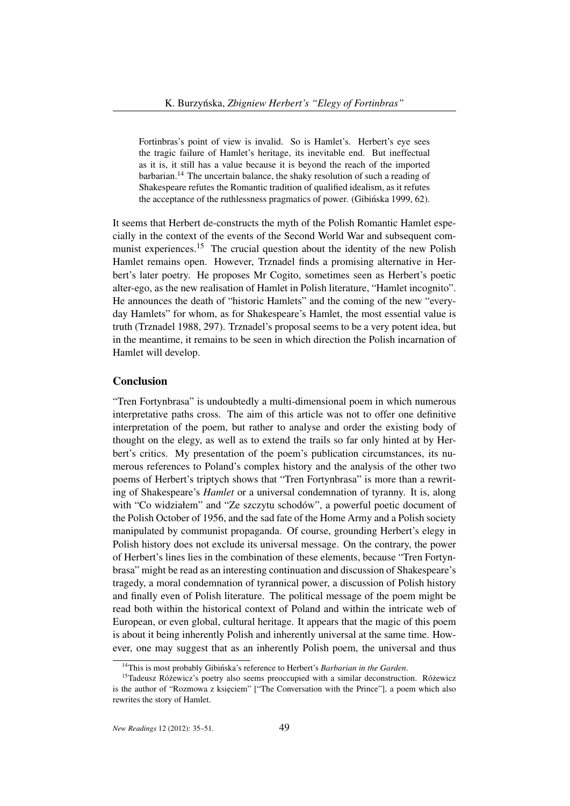Fortinbras's point of view is invalid. So is Hamlet's. Herbert's eye sees the tragic failure of Hamlet's heritage, its inevitable end. But ineffectual as it is, it still has a value because it is beyond the reach of the imported barbarian.<sup>14</sup> The uncertain balance, the shaky resolution of such a reading of Shakespeare refutes the Romantic tradition of qualified idealism, as it refutes the acceptance of the ruthlessness pragmatics of power. (Gibinska 1999, 62).

It seems that Herbert de-constructs the myth of the Polish Romantic Hamlet especially in the context of the events of the Second World War and subsequent communist experiences.<sup>15</sup> The crucial question about the identity of the new Polish Hamlet remains open. However, Trznadel finds a promising alternative in Herbert's later poetry. He proposes Mr Cogito, sometimes seen as Herbert's poetic alter-ego, as the new realisation of Hamlet in Polish literature, "Hamlet incognito". He announces the death of "historic Hamlets" and the coming of the new "everyday Hamlets" for whom, as for Shakespeare's Hamlet, the most essential value is truth (Trznadel 1988, 297). Trznadel's proposal seems to be a very potent idea, but in the meantime, it remains to be seen in which direction the Polish incarnation of Hamlet will develop.

#### **Conclusion**

"Tren Fortynbrasa" is undoubtedly a multi-dimensional poem in which numerous interpretative paths cross. The aim of this article was not to offer one definitive interpretation of the poem, but rather to analyse and order the existing body of thought on the elegy, as well as to extend the trails so far only hinted at by Herbert's critics. My presentation of the poem's publication circumstances, its numerous references to Poland's complex history and the analysis of the other two poems of Herbert's triptych shows that "Tren Fortynbrasa" is more than a rewriting of Shakespeare's *Hamlet* or a universal condemnation of tyranny. It is, along with "Co widziałem" and "Ze szczytu schodów", a powerful poetic document of the Polish October of 1956, and the sad fate of the Home Army and a Polish society manipulated by communist propaganda. Of course, grounding Herbert's elegy in Polish history does not exclude its universal message. On the contrary, the power of Herbert's lines lies in the combination of these elements, because "Tren Fortynbrasa" might be read as an interesting continuation and discussion of Shakespeare's tragedy, a moral condemnation of tyrannical power, a discussion of Polish history and finally even of Polish literature. The political message of the poem might be read both within the historical context of Poland and within the intricate web of European, or even global, cultural heritage. It appears that the magic of this poem is about it being inherently Polish and inherently universal at the same time. However, one may suggest that as an inherently Polish poem, the universal and thus

<sup>&</sup>lt;sup>14</sup>This is most probably Gibińska's reference to Herbert's *Barbarian in the Garden*.

 $15$ Tadeusz Różewicz's poetry also seems preoccupied with a similar deconstruction. Różewicz is the author of "Rozmowa z księciem" ["The Conversation with the Prince"], a poem which also rewrites the story of Hamlet.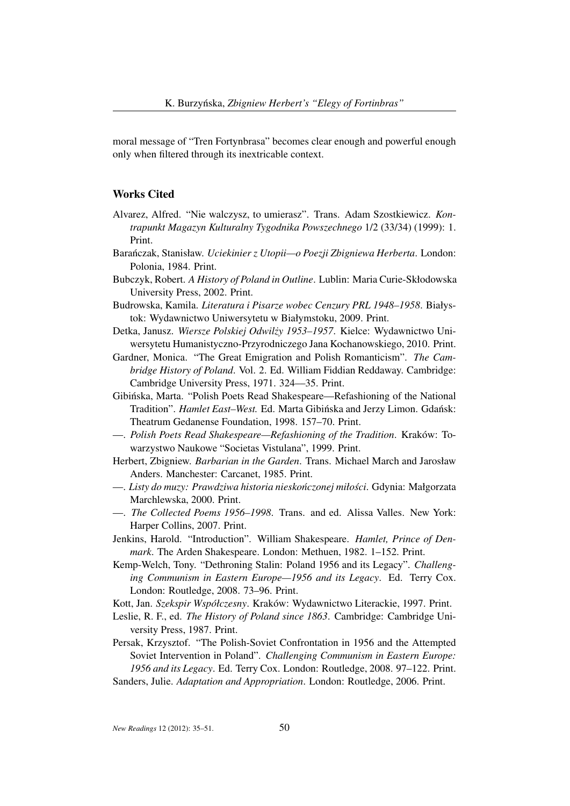moral message of "Tren Fortynbrasa" becomes clear enough and powerful enough only when filtered through its inextricable context.

## Works Cited

- Alvarez, Alfred. "Nie walczysz, to umierasz". Trans. Adam Szostkiewicz. *Kontrapunkt Magazyn Kulturalny Tygodnika Powszechnego* 1/2 (33/34) (1999): 1. Print.
- Barańczak, Stanisław. *Uciekinier z Utopii—o Poezji Zbigniewa Herberta*. London: Polonia, 1984. Print.
- Bubczyk, Robert. *A History of Poland in Outline*. Lublin: Maria Curie-Skłodowska University Press, 2002. Print.
- Budrowska, Kamila. *Literatura i Pisarze wobec Cenzury PRL 1948–1958*. Białystok: Wydawnictwo Uniwersytetu w Białymstoku, 2009. Print.
- Detka, Janusz. *Wiersze Polskiej Odwilzy 1953–1957 ˙* . Kielce: Wydawnictwo Uniwersytetu Humanistyczno-Przyrodniczego Jana Kochanowskiego, 2010. Print.
- Gardner, Monica. "The Great Emigration and Polish Romanticism". *The Cambridge History of Poland*. Vol. 2. Ed. William Fiddian Reddaway. Cambridge: Cambridge University Press, 1971. 324––35. Print.
- Gibinska, Marta. "Polish Poets Read Shakespeare—Refashioning of the National ´ Tradition". *Hamlet East-West.* Ed. Marta Gibińska and Jerzy Limon. Gdańsk: Theatrum Gedanense Foundation, 1998. 157–70. Print.
- —. *Polish Poets Read Shakespeare—Refashioning of the Tradition*. Kraków: Towarzystwo Naukowe "Societas Vistulana", 1999. Print.
- Herbert, Zbigniew. *Barbarian in the Garden*. Trans. Michael March and Jarosław Anders. Manchester: Carcanet, 1985. Print.
- —. *Listy do muzy: Prawdziwa historia niesko ´nczonej miłosci ´* . Gdynia: Małgorzata Marchlewska, 2000. Print.
- —. *The Collected Poems 1956–1998*. Trans. and ed. Alissa Valles. New York: Harper Collins, 2007. Print.
- Jenkins, Harold. "Introduction". William Shakespeare. *Hamlet, Prince of Denmark*. The Arden Shakespeare. London: Methuen, 1982. 1–152. Print.
- Kemp-Welch, Tony. "Dethroning Stalin: Poland 1956 and its Legacy". *Challenging Communism in Eastern Europe—1956 and its Legacy*. Ed. Terry Cox. London: Routledge, 2008. 73–96. Print.
- Kott, Jan. *Szekspir Współczesny*. Kraków: Wydawnictwo Literackie, 1997. Print.
- Leslie, R. F., ed. *The History of Poland since 1863*. Cambridge: Cambridge University Press, 1987. Print.

Persak, Krzysztof. "The Polish-Soviet Confrontation in 1956 and the Attempted Soviet Intervention in Poland". *Challenging Communism in Eastern Europe: 1956 and its Legacy*. Ed. Terry Cox. London: Routledge, 2008. 97–122. Print. Sanders, Julie. *Adaptation and Appropriation*. London: Routledge, 2006. Print.

*New Readings* 12 (2012): 35–51. 50